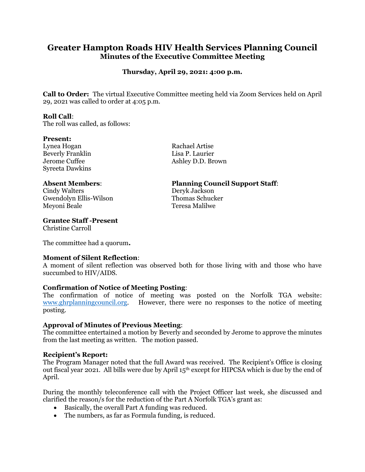# **Greater Hampton Roads HIV Health Services Planning Council Minutes of the Executive Committee Meeting**

# **Thursday, April 29, 2021: 4:00 p.m.**

**Call to Order:** The virtual Executive Committee meeting held via Zoom Services held on April 29, 2021 was called to order at 4:05 p.m.

#### **Roll Call**:

The roll was called, as follows:

#### **Present:**

Lynea Hogan Rachael Artise Beverly Franklin Lisa P. Laurier Syreeta Dawkins

Cindy Walters Deryk Jackson Gwendolyn Ellis-Wilson Thomas Schucker Meyoni Beale Teresa Malilwe

## **Grantee Staff -Present**

Christine Carroll

The committee had a quorum**.**

## **Moment of Silent Reflection**:

A moment of silent reflection was observed both for those living with and those who have succumbed to HIV/AIDS.

## **Confirmation of Notice of Meeting Posting**:

The confirmation of notice of meeting was posted on the Norfolk TGA website: [www.ghrplanningcouncil.org.](http://www.ghrplanningcouncil.org/) However, there were no responses to the notice of meeting posting.

## **Approval of Minutes of Previous Meeting**:

The committee entertained a motion by Beverly and seconded by Jerome to approve the minutes from the last meeting as written. The motion passed.

## **Recipient's Report:**

The Program Manager noted that the full Award was received. The Recipient's Office is closing out fiscal year 2021. All bills were due by April  $15<sup>th</sup>$  except for HIPCSA which is due by the end of April.

During the monthly teleconference call with the Project Officer last week, she discussed and clarified the reason/s for the reduction of the Part A Norfolk TGA's grant as:

- Basically, the overall Part A funding was reduced.
- The numbers, as far as Formula funding, is reduced.

Jerome Cuffee Ashley D.D. Brown

## **Absent Members**: **Planning Council Support Staff**: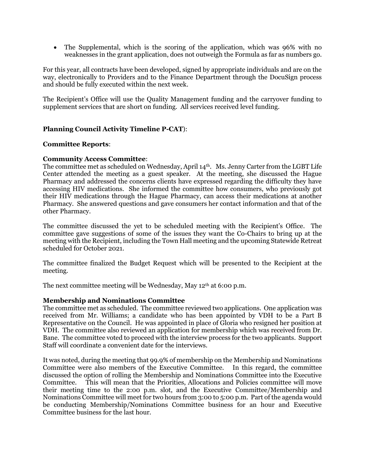• The Supplemental, which is the scoring of the application, which was 96% with no weaknesses in the grant application, does not outweigh the Formula as far as numbers go.

For this year, all contracts have been developed, signed by appropriate individuals and are on the way, electronically to Providers and to the Finance Department through the DocuSign process and should be fully executed within the next week.

The Recipient's Office will use the Quality Management funding and the carryover funding to supplement services that are short on funding. All services received level funding.

## **Planning Council Activity Timeline P-CAT**):

#### **Committee Reports**:

#### **Community Access Committee**:

The committee met as scheduled on Wednesday, April 14<sup>th</sup>. Ms. Jenny Carter from the LGBT Life Center attended the meeting as a guest speaker. At the meeting, she discussed the Hague Pharmacy and addressed the concerns clients have expressed regarding the difficulty they have accessing HIV medications. She informed the committee how consumers, who previously got their HIV medications through the Hague Pharmacy, can access their medications at another Pharmacy. She answered questions and gave consumers her contact information and that of the other Pharmacy.

The committee discussed the yet to be scheduled meeting with the Recipient's Office. The committee gave suggestions of some of the issues they want the Co-Chairs to bring up at the meeting with the Recipient, including the Town Hall meeting and the upcoming Statewide Retreat scheduled for October 2021.

The committee finalized the Budget Request which will be presented to the Recipient at the meeting.

The next committee meeting will be Wednesday, May 12<sup>th</sup> at 6:00 p.m.

## **Membership and Nominations Committee**

The committee met as scheduled. The committee reviewed two applications. One application was received from Mr. Williams; a candidate who has been appointed by VDH to be a Part B Representative on the Council. He was appointed in place of Gloria who resigned her position at VDH. The committee also reviewed an application for membership which was received from Dr. Bane. The committee voted to proceed with the interview process for the two applicants. Support Staff will coordinate a convenient date for the interviews.

It was noted, during the meeting that 99.9% of membership on the Membership and Nominations Committee were also members of the Executive Committee. In this regard, the committee discussed the option of rolling the Membership and Nominations Committee into the Executive Committee. This will mean that the Priorities, Allocations and Policies committee will move their meeting time to the 2:00 p.m. slot, and the Executive Committee/Membership and Nominations Committee will meet for two hours from 3:00 to 5:00 p.m. Part of the agenda would be conducting Membership/Nominations Committee business for an hour and Executive Committee business for the last hour.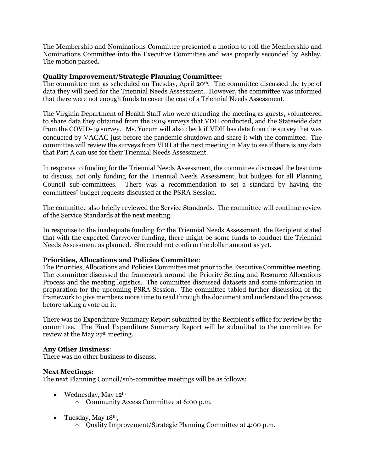The Membership and Nominations Committee presented a motion to roll the Membership and Nominations Committee into the Executive Committee and was properly seconded by Ashley. The motion passed.

## **Quality Improvement/Strategic Planning Committee:**

The committee met as scheduled on Tuesday, April 20<sup>th</sup>. The committee discussed the type of data they will need for the Triennial Needs Assessment. However, the committee was informed that there were not enough funds to cover the cost of a Triennial Needs Assessment.

The Virginia Department of Health Staff who were attending the meeting as guests, volunteered to share data they obtained from the 2019 surveys that VDH conducted, and the Statewide data from the COVID-19 survey. Ms. Yocum will also check if VDH has data from the survey that was conducted by VACAC just before the pandemic shutdown and share it with the committee. The committee will review the surveys from VDH at the next meeting in May to see if there is any data that Part A can use for their Triennial Needs Assessment.

In response to funding for the Triennial Needs Assessment, the committee discussed the best time to discuss, not only funding for the Triennial Needs Assessment, but budgets for all Planning Council sub-committees. There was a recommendation to set a standard by having the committees' budget requests discussed at the PSRA Session.

The committee also briefly reviewed the Service Standards. The committee will continue review of the Service Standards at the next meeting.

In response to the inadequate funding for the Triennial Needs Assessment, the Recipient stated that with the expected Carryover funding, there might be some funds to conduct the Triennial Needs Assessment as planned. She could not confirm the dollar amount as yet.

#### **Priorities, Allocations and Policies Committee**:

The Priorities, Allocations and Policies Committee met prior to the Executive Committee meeting. The committee discussed the framework around the Priority Setting and Resource Allocations Process and the meeting logistics. The committee discussed datasets and some information in preparation for the upcoming PSRA Session. The committee tabled further discussion of the framework to give members more time to read through the document and understand the process before taking a vote on it.

There was no Expenditure Summary Report submitted by the Recipient's office for review by the committee. The Final Expenditure Summary Report will be submitted to the committee for review at the May 27<sup>th</sup> meeting.

#### **Any Other Business**:

There was no other business to discuss.

#### **Next Meetings:**

The next Planning Council/sub-committee meetings will be as follows:

- Wednesday, May 12<sup>th</sup>
	- o Community Access Committee at 6:00 p.m.
- Tuesday, May  $18<sup>th</sup>$ ,
	- o Quality Improvement/Strategic Planning Committee at 4:00 p.m.